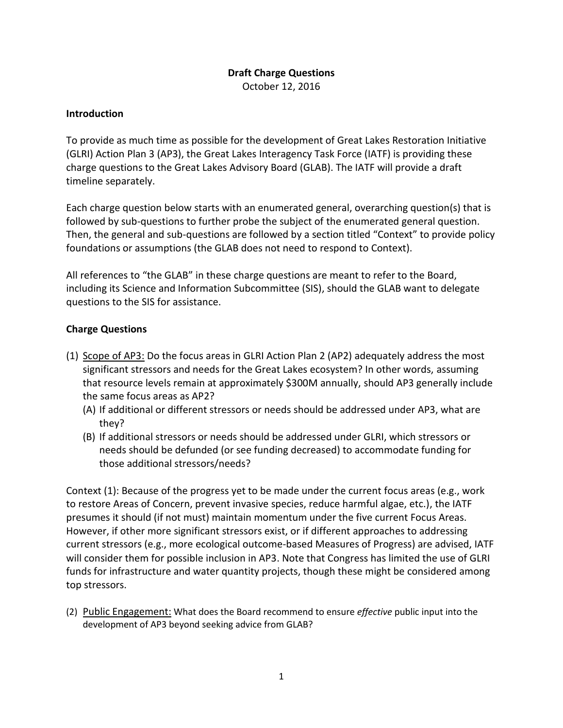## **Draft Charge Questions** October 12, 2016

## **Introduction**

To provide as much time as possible for the development of Great Lakes Restoration Initiative (GLRI) Action Plan 3 (AP3), the Great Lakes Interagency Task Force (IATF) is providing these charge questions to the Great Lakes Advisory Board (GLAB). The IATF will provide a draft timeline separately.

Each charge question below starts with an enumerated general, overarching question(s) that is followed by sub-questions to further probe the subject of the enumerated general question. Then, the general and sub-questions are followed by a section titled "Context" to provide policy foundations or assumptions (the GLAB does not need to respond to Context).

All references to "the GLAB" in these charge questions are meant to refer to the Board, including its Science and Information Subcommittee (SIS), should the GLAB want to delegate questions to the SIS for assistance.

## **Charge Questions**

- (1) Scope of AP3: Do the focus areas in GLRI Action Plan 2 (AP2) adequately address the most significant stressors and needs for the Great Lakes ecosystem? In other words, assuming that resource levels remain at approximately \$300M annually, should AP3 generally include the same focus areas as AP2?
	- (A) If additional or different stressors or needs should be addressed under AP3, what are they?
	- (B) If additional stressors or needs should be addressed under GLRI, which stressors or needs should be defunded (or see funding decreased) to accommodate funding for those additional stressors/needs?

Context (1): Because of the progress yet to be made under the current focus areas (e.g., work to restore Areas of Concern, prevent invasive species, reduce harmful algae, etc.), the IATF presumes it should (if not must) maintain momentum under the five current Focus Areas. However, if other more significant stressors exist, or if different approaches to addressing current stressors (e.g., more ecological outcome-based Measures of Progress) are advised, IATF will consider them for possible inclusion in AP3. Note that Congress has limited the use of GLRI funds for infrastructure and water quantity projects, though these might be considered among top stressors.

(2) Public Engagement: What does the Board recommend to ensure *effective* public input into the development of AP3 beyond seeking advice from GLAB?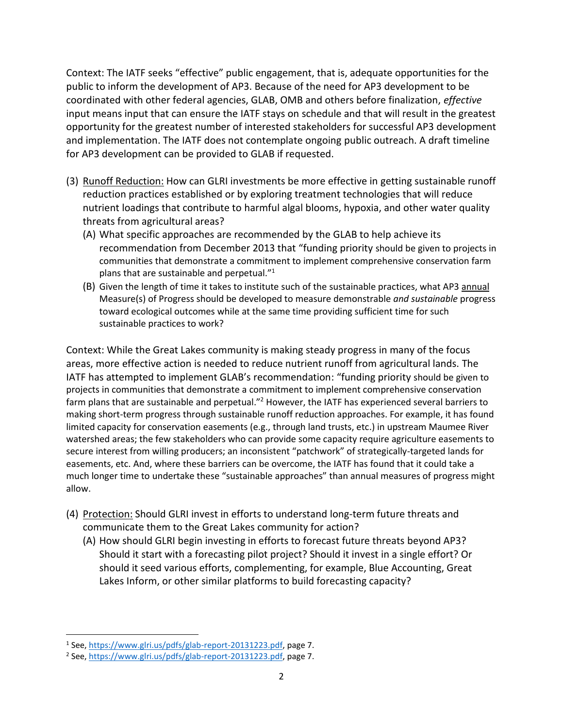Context: The IATF seeks "effective" public engagement, that is, adequate opportunities for the public to inform the development of AP3. Because of the need for AP3 development to be coordinated with other federal agencies, GLAB, OMB and others before finalization, *effective* input means input that can ensure the IATF stays on schedule and that will result in the greatest opportunity for the greatest number of interested stakeholders for successful AP3 development and implementation. The IATF does not contemplate ongoing public outreach. A draft timeline for AP3 development can be provided to GLAB if requested.

- (3) Runoff Reduction: How can GLRI investments be more effective in getting sustainable runoff reduction practices established or by exploring treatment technologies that will reduce nutrient loadings that contribute to harmful algal blooms, hypoxia, and other water quality threats from agricultural areas?
	- (A) What specific approaches are recommended by the GLAB to help achieve its recommendation from December 2013 that "funding priority should be given to projects in communities that demonstrate a commitment to implement comprehensive conservation farm plans that are sustainable and perpetual."<sup>1</sup>
	- (B) Given the length of time it takes to institute such of the sustainable practices, what AP3 annual Measure(s) of Progress should be developed to measure demonstrable *and sustainable* progress toward ecological outcomes while at the same time providing sufficient time for such sustainable practices to work?

Context: While the Great Lakes community is making steady progress in many of the focus areas, more effective action is needed to reduce nutrient runoff from agricultural lands. The IATF has attempted to implement GLAB's recommendation: "funding priority should be given to projects in communities that demonstrate a commitment to implement comprehensive conservation farm plans that are sustainable and perpetual."<sup>2</sup> However, the IATF has experienced several barriers to making short-term progress through sustainable runoff reduction approaches. For example, it has found limited capacity for conservation easements (e.g., through land trusts, etc.) in upstream Maumee River watershed areas; the few stakeholders who can provide some capacity require agriculture easements to secure interest from willing producers; an inconsistent "patchwork" of strategically-targeted lands for easements, etc. And, where these barriers can be overcome, the IATF has found that it could take a much longer time to undertake these "sustainable approaches" than annual measures of progress might allow.

- (4) Protection: Should GLRI invest in efforts to understand long-term future threats and communicate them to the Great Lakes community for action?
	- (A) How should GLRI begin investing in efforts to forecast future threats beyond AP3? Should it start with a forecasting pilot project? Should it invest in a single effort? Or should it seed various efforts, complementing, for example, Blue Accounting, Great Lakes Inform, or other similar platforms to build forecasting capacity?

l <sup>1</sup> See, [https://www.glri.us/pdfs/glab-report-20131223.pdf,](https://www.glri.us/pdfs/glab-report-20131223.pdf) page 7.

<sup>&</sup>lt;sup>2</sup> See, [https://www.glri.us/pdfs/glab-report-20131223.pdf,](https://www.glri.us/pdfs/glab-report-20131223.pdf) page 7.